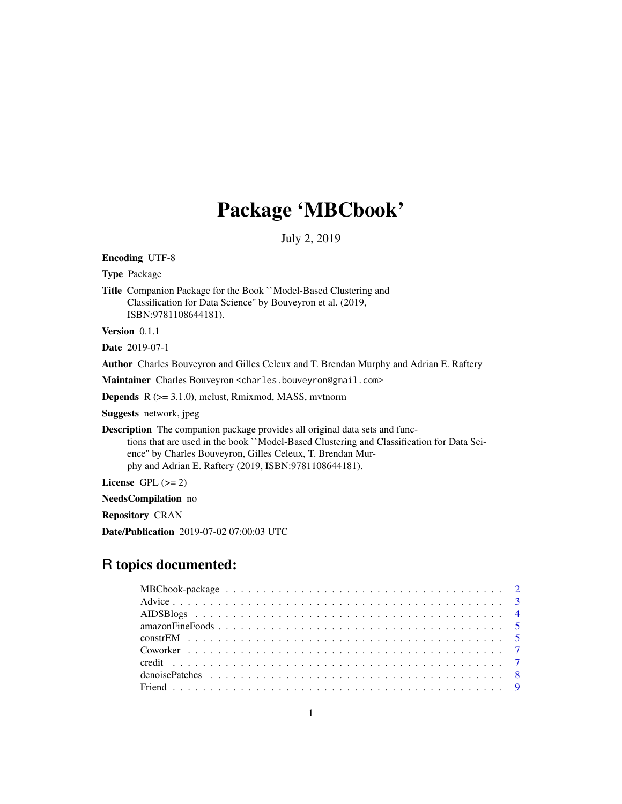# Package 'MBCbook'

July 2, 2019

<span id="page-0-0"></span>Encoding UTF-8

Type Package

Title Companion Package for the Book ``Model-Based Clustering and Classification for Data Science'' by Bouveyron et al. (2019, ISBN:9781108644181).

Version 0.1.1

Date 2019-07-1

Author Charles Bouveyron and Gilles Celeux and T. Brendan Murphy and Adrian E. Raftery

Maintainer Charles Bouveyron <charles.bouveyron@gmail.com>

Depends R (>= 3.1.0), mclust, Rmixmod, MASS, mvtnorm

Suggests network, jpeg

Description The companion package provides all original data sets and functions that are used in the book ``Model-Based Clustering and Classification for Data Science'' by Charles Bouveyron, Gilles Celeux, T. Brendan Murphy and Adrian E. Raftery (2019, ISBN:9781108644181).

License GPL  $(>= 2)$ 

NeedsCompilation no

Repository CRAN

Date/Publication 2019-07-02 07:00:03 UTC

# R topics documented:

| $amazon FineFoods \ldots \ldots \ldots \ldots \ldots \ldots \ldots \ldots \ldots \ldots \ldots \ldots \ldots 5$ |  |  |  |  |  |  |  |  |  |  |  |  |  |  |  |  |  |  |
|-----------------------------------------------------------------------------------------------------------------|--|--|--|--|--|--|--|--|--|--|--|--|--|--|--|--|--|--|
|                                                                                                                 |  |  |  |  |  |  |  |  |  |  |  |  |  |  |  |  |  |  |
|                                                                                                                 |  |  |  |  |  |  |  |  |  |  |  |  |  |  |  |  |  |  |
|                                                                                                                 |  |  |  |  |  |  |  |  |  |  |  |  |  |  |  |  |  |  |
|                                                                                                                 |  |  |  |  |  |  |  |  |  |  |  |  |  |  |  |  |  |  |
|                                                                                                                 |  |  |  |  |  |  |  |  |  |  |  |  |  |  |  |  |  |  |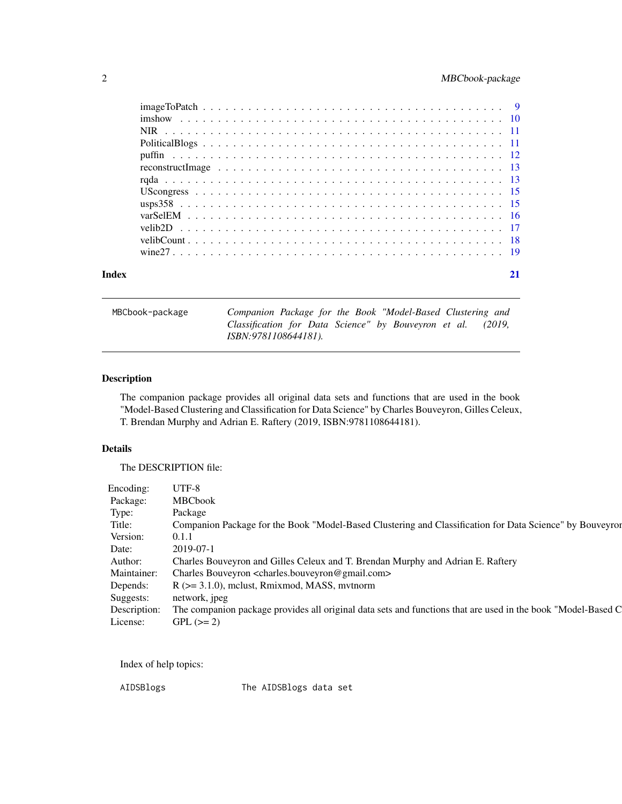# <span id="page-1-0"></span>2 MBCbook-package

| Index |  |
|-------|--|

MBCbook-package *Companion Package for the Book "Model-Based Clustering and Classification for Data Science" by Bouveyron et al. (2019, ISBN:9781108644181).*

# Description

The companion package provides all original data sets and functions that are used in the book "Model-Based Clustering and Classification for Data Science" by Charles Bouveyron, Gilles Celeux, T. Brendan Murphy and Adrian E. Raftery (2019, ISBN:9781108644181).

# Details

The DESCRIPTION file:

| Encoding:    | UTF-8                                                                                                        |
|--------------|--------------------------------------------------------------------------------------------------------------|
| Package:     | <b>MBCbook</b>                                                                                               |
| Type:        | Package                                                                                                      |
| Title:       | Companion Package for the Book "Model-Based Clustering and Classification for Data Science" by Bouveyror     |
| Version:     | 0.1.1                                                                                                        |
| Date:        | $2019 - 07 - 1$                                                                                              |
| Author:      | Charles Bouveyron and Gilles Celeux and T. Brendan Murphy and Adrian E. Raftery                              |
| Maintainer:  | Charles Bouveyron <charles.bouveyron@gmail.com></charles.bouveyron@gmail.com>                                |
| Depends:     | $R$ ( $>=$ 3.1.0), mclust, Rmixmod, MASS, mythorm                                                            |
| Suggests:    | network, jpeg                                                                                                |
| Description: | The companion package provides all original data sets and functions that are used in the book "Model-Based C |
| License:     | $GPL (= 2)$                                                                                                  |

Index of help topics:

AIDSBlogs The AIDSBlogs data set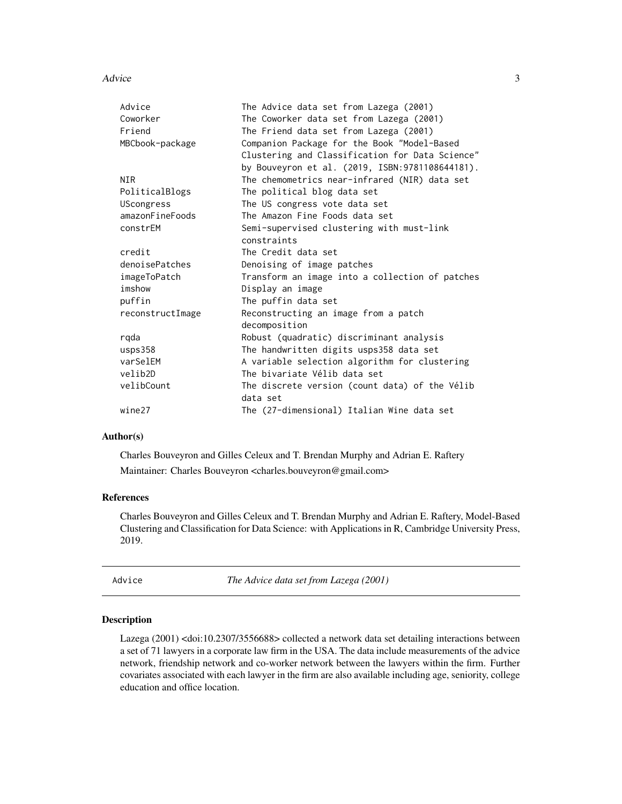#### <span id="page-2-0"></span>Advice 3

| Advice              | The Advice data set from Lazega (2001)           |
|---------------------|--------------------------------------------------|
| Coworker            | The Coworker data set from Lazega (2001)         |
| Friend              | The Friend data set from Lazega (2001)           |
| MBCbook-package     | Companion Package for the Book "Model-Based      |
|                     | Clustering and Classification for Data Science"  |
|                     | by Bouveyron et al. (2019, ISBN: 9781108644181). |
| <b>NIR</b>          | The chemometrics near-infrared (NIR) data set    |
| PoliticalBlogs      | The political blog data set                      |
| <b>UScongress</b>   | The US congress vote data set                    |
| amazonFineFoods     | The Amazon Fine Foods data set                   |
| constrEM            | Semi-supervised clustering with must-link        |
|                     | constraints                                      |
| credit              | The Credit data set                              |
| denoisePatches      | Denoising of image patches                       |
| imageToPatch        | Transform an image into a collection of patches  |
| imshow              | Display an image                                 |
| puffin              | The puffin data set                              |
| reconstructImage    | Reconstructing an image from a patch             |
|                     | decomposition                                    |
| rgda                | Robust (quadratic) discriminant analysis         |
| ussp <sub>358</sub> | The handwritten digits usps358 data set          |
| varSelEM            | A variable selection algorithm for clustering    |
| velib2D             | The bivariate Vélib data set                     |
| velibCount          | The discrete version (count data) of the Vélib   |
|                     | data set                                         |
| wine27              | The (27-dimensional) Italian Wine data set       |

# Author(s)

Charles Bouveyron and Gilles Celeux and T. Brendan Murphy and Adrian E. Raftery Maintainer: Charles Bouveyron <charles.bouveyron@gmail.com>

## References

Charles Bouveyron and Gilles Celeux and T. Brendan Murphy and Adrian E. Raftery, Model-Based Clustering and Classification for Data Science: with Applications in R, Cambridge University Press, 2019.

Advice *The Advice data set from Lazega (2001)*

# Description

Lazega (2001) <doi:10.2307/3556688> collected a network data set detailing interactions between a set of 71 lawyers in a corporate law firm in the USA. The data include measurements of the advice network, friendship network and co-worker network between the lawyers within the firm. Further covariates associated with each lawyer in the firm are also available including age, seniority, college education and office location.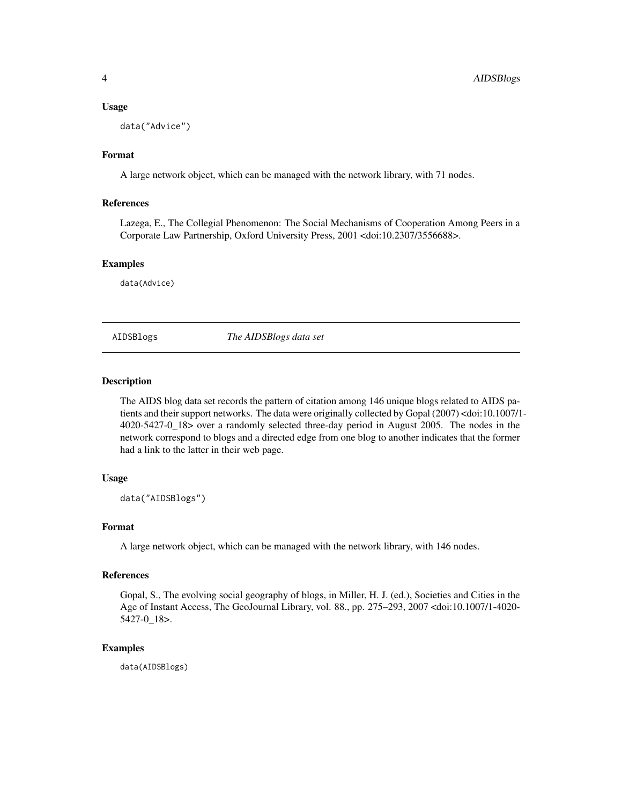#### <span id="page-3-0"></span>Usage

```
data("Advice")
```
# Format

A large network object, which can be managed with the network library, with 71 nodes.

# References

Lazega, E., The Collegial Phenomenon: The Social Mechanisms of Cooperation Among Peers in a Corporate Law Partnership, Oxford University Press, 2001 <doi:10.2307/3556688>.

#### Examples

data(Advice)

AIDSBlogs *The AIDSBlogs data set*

# Description

The AIDS blog data set records the pattern of citation among 146 unique blogs related to AIDS patients and their support networks. The data were originally collected by Gopal (2007) <doi:10.1007/1-4020-5427-0\_18> over a randomly selected three-day period in August 2005. The nodes in the network correspond to blogs and a directed edge from one blog to another indicates that the former had a link to the latter in their web page.

#### Usage

data("AIDSBlogs")

# Format

A large network object, which can be managed with the network library, with 146 nodes.

#### References

Gopal, S., The evolving social geography of blogs, in Miller, H. J. (ed.), Societies and Cities in the Age of Instant Access, The GeoJournal Library, vol. 88., pp. 275–293, 2007 <doi:10.1007/1-4020- 5427-0\_18>.

## Examples

data(AIDSBlogs)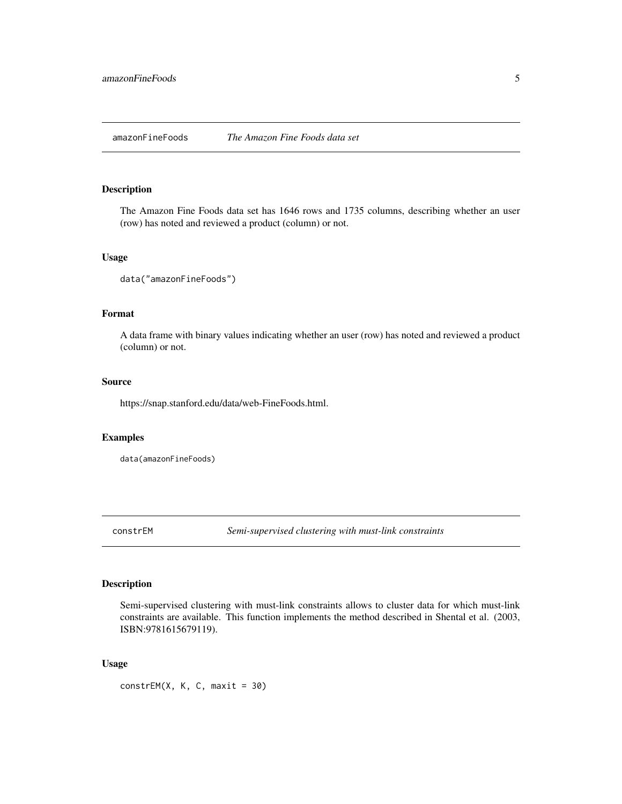# <span id="page-4-0"></span>Description

The Amazon Fine Foods data set has 1646 rows and 1735 columns, describing whether an user (row) has noted and reviewed a product (column) or not.

#### Usage

```
data("amazonFineFoods")
```
#### Format

A data frame with binary values indicating whether an user (row) has noted and reviewed a product (column) or not.

# Source

https://snap.stanford.edu/data/web-FineFoods.html.

## Examples

data(amazonFineFoods)

constrEM *Semi-supervised clustering with must-link constraints*

#### Description

Semi-supervised clustering with must-link constraints allows to cluster data for which must-link constraints are available. This function implements the method described in Shental et al. (2003, ISBN:9781615679119).

# Usage

 $constrEM(X, K, C, maxit = 30)$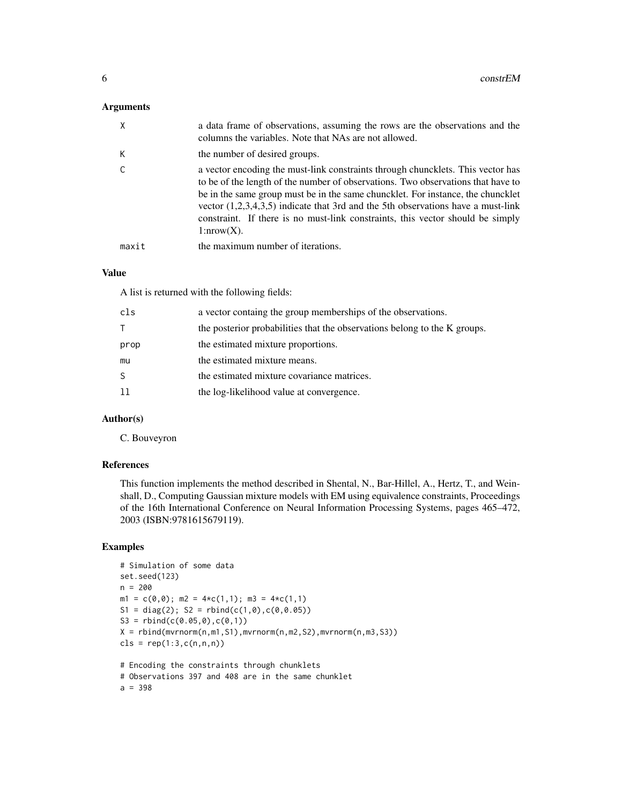#### Arguments

| X     | a data frame of observations, assuming the rows are the observations and the<br>columns the variables. Note that NAs are not allowed.                                                                                                                                                                                                                                                                                                            |
|-------|--------------------------------------------------------------------------------------------------------------------------------------------------------------------------------------------------------------------------------------------------------------------------------------------------------------------------------------------------------------------------------------------------------------------------------------------------|
| К     | the number of desired groups.                                                                                                                                                                                                                                                                                                                                                                                                                    |
|       | a vector encoding the must-link constraints through chuncklets. This vector has<br>to be of the length of the number of observations. Two observations that have to<br>be in the same group must be in the same chuncklet. For instance, the chuncklet<br>vector $(1,2,3,4,3,5)$ indicate that 3rd and the 5th observations have a must-link<br>constraint. If there is no must-link constraints, this vector should be simply<br>$1: nrow(X)$ . |
| maxit | the maximum number of iterations.                                                                                                                                                                                                                                                                                                                                                                                                                |

# Value

A list is returned with the following fields:

| a vector containg the group memberships of the observations.              |
|---------------------------------------------------------------------------|
| the posterior probabilities that the observations belong to the K groups. |
| the estimated mixture proportions.                                        |
| the estimated mixture means.                                              |
| the estimated mixture covariance matrices.                                |
| the log-likelihood value at convergence.                                  |
|                                                                           |

# Author(s)

C. Bouveyron

# References

This function implements the method described in Shental, N., Bar-Hillel, A., Hertz, T., and Weinshall, D., Computing Gaussian mixture models with EM using equivalence constraints, Proceedings of the 16th International Conference on Neural Information Processing Systems, pages 465–472, 2003 (ISBN:9781615679119).

# Examples

```
# Simulation of some data
set.seed(123)
n = 200
m1 = c(0,0); m2 = 4*c(1,1); m3 = 4*c(1,1)S1 = diag(2); S2 = rbind(c(1,0),c(0,0.05))S3 = \text{rbind}(c(0.05, 0), c(0, 1))X = \text{rbind}(\text{mvrnorm}(n, m1, S1), \text{mvrnorm}(n, m2, S2), \text{mvrnorm}(n, m3, S3))cls = rep(1:3,c(n,n,n))# Encoding the constraints through chunklets
```

```
# Observations 397 and 408 are in the same chunklet
a = 398
```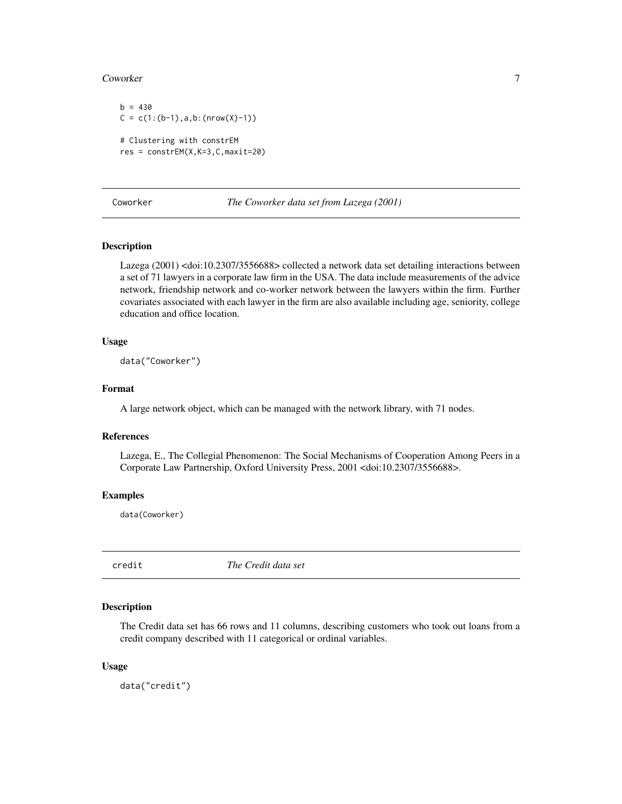#### <span id="page-6-0"></span>Coworker 7

 $b = 430$  $C = c(1:(b-1),a,b:(nrow(X)-1))$ # Clustering with constrEM res = constrEM(X,K=3,C,maxit=20)

Coworker *The Coworker data set from Lazega (2001)*

# Description

Lazega (2001) <doi:10.2307/3556688> collected a network data set detailing interactions between a set of 71 lawyers in a corporate law firm in the USA. The data include measurements of the advice network, friendship network and co-worker network between the lawyers within the firm. Further covariates associated with each lawyer in the firm are also available including age, seniority, college education and office location.

# Usage

data("Coworker")

#### Format

A large network object, which can be managed with the network library, with 71 nodes.

# References

Lazega, E., The Collegial Phenomenon: The Social Mechanisms of Cooperation Among Peers in a Corporate Law Partnership, Oxford University Press, 2001 <doi:10.2307/3556688>.

#### Examples

data(Coworker)

credit *The Credit data set*

#### Description

The Credit data set has 66 rows and 11 columns, describing customers who took out loans from a credit company described with 11 categorical or ordinal variables.

#### Usage

data("credit")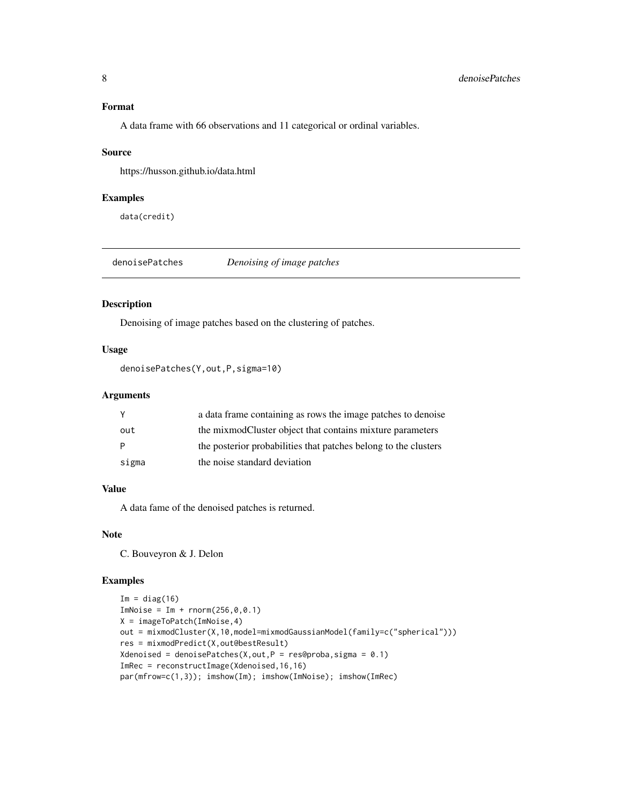# <span id="page-7-0"></span>Format

A data frame with 66 observations and 11 categorical or ordinal variables.

#### Source

https://husson.github.io/data.html

#### Examples

data(credit)

denoisePatches *Denoising of image patches*

# Description

Denoising of image patches based on the clustering of patches.

# Usage

```
denoisePatches(Y,out,P,sigma=10)
```
# Arguments

|       | a data frame containing as rows the image patches to denoise    |
|-------|-----------------------------------------------------------------|
| out   | the mixmodCluster object that contains mixture parameters       |
|       | the posterior probabilities that patches belong to the clusters |
| sigma | the noise standard deviation                                    |

# Value

A data fame of the denoised patches is returned.

# Note

C. Bouveyron & J. Delon

## Examples

```
Im = diag(16)ImNoise = Im + rnorm(256, 0, 0.1)X = imageToPatch(ImNoise,4)
out = mixmodCluster(X,10,model=mixmodGaussianModel(family=c("spherical")))
res = mixmodPredict(X,out@bestResult)
Xdenoised = denoisePatches(X,out,P = res@proba,sigma = 0.1)ImRec = reconstructImage(Xdenoised,16,16)
par(mfrow=c(1,3)); imshow(Im); imshow(ImNoise); imshow(ImRec)
```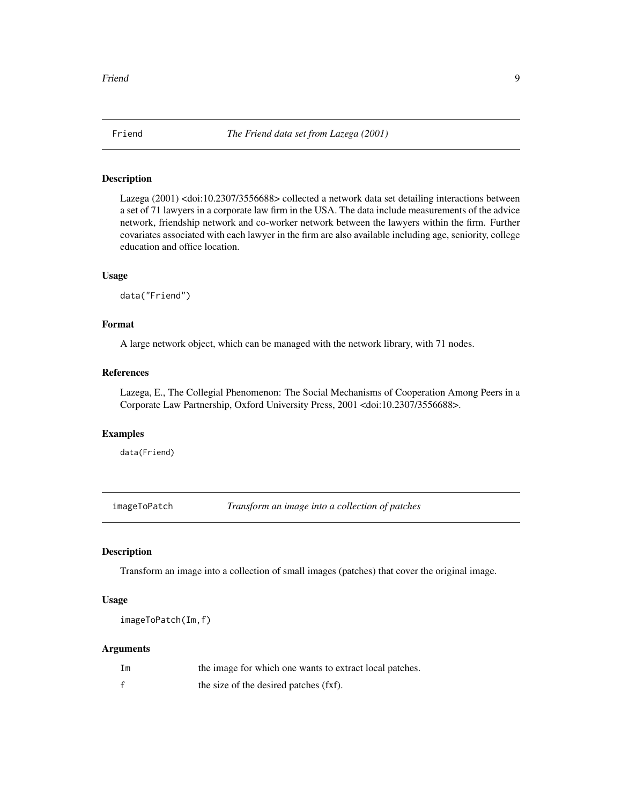<span id="page-8-0"></span>

# Description

Lazega (2001) <doi:10.2307/3556688> collected a network data set detailing interactions between a set of 71 lawyers in a corporate law firm in the USA. The data include measurements of the advice network, friendship network and co-worker network between the lawyers within the firm. Further covariates associated with each lawyer in the firm are also available including age, seniority, college education and office location.

#### Usage

data("Friend")

# Format

A large network object, which can be managed with the network library, with 71 nodes.

#### References

Lazega, E., The Collegial Phenomenon: The Social Mechanisms of Cooperation Among Peers in a Corporate Law Partnership, Oxford University Press, 2001 <doi:10.2307/3556688>.

## Examples

data(Friend)

imageToPatch *Transform an image into a collection of patches*

# Description

Transform an image into a collection of small images (patches) that cover the original image.

# Usage

imageToPatch(Im,f)

#### Arguments

| Im | the image for which one wants to extract local patches. |
|----|---------------------------------------------------------|
|    | the size of the desired patches (fxf).                  |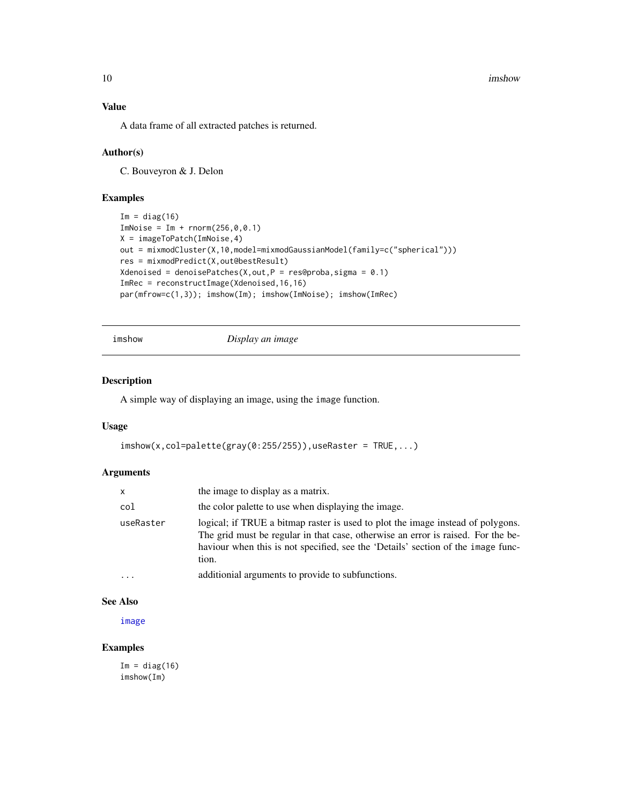<span id="page-9-0"></span>10 imshow imshow  $\sim$ 

# Value

A data frame of all extracted patches is returned.

# Author(s)

C. Bouveyron & J. Delon

# Examples

```
Im = diag(16)ImNoise = Im + rnorm(256, 0, 0.1)X = imageToPatch(ImNoise,4)
out = mixmodCluster(X,10,model=mixmodGaussianModel(family=c("spherical")))
res = mixmodPredict(X,out@bestResult)
Xdenoised = denoisePatches(X,out,P = res@proba,sigma = 0.1)ImRec = reconstructImage(Xdenoised,16,16)
par(mfrow=c(1,3)); imshow(Im); imshow(ImNoise); imshow(ImRec)
```
imshow *Display an image*

# Description

A simple way of displaying an image, using the image function.

#### Usage

```
\text{imshow}(x,\text{col}=palette(\text{gray}(0:255/255)), useRaster = TRUE, ...)
```
#### Arguments

| $\mathsf{x}$ | the image to display as a matrix.                                                                                                                                                                                                                                |
|--------------|------------------------------------------------------------------------------------------------------------------------------------------------------------------------------------------------------------------------------------------------------------------|
| col          | the color palette to use when displaying the image.                                                                                                                                                                                                              |
| useRaster    | logical; if TRUE a bitmap raster is used to plot the image instead of polygons.<br>The grid must be regular in that case, otherwise an error is raised. For the be-<br>haviour when this is not specified, see the 'Details' section of the image func-<br>tion. |
| $\ddotsc$    | additionial arguments to provide to subfunctions.                                                                                                                                                                                                                |

# See Also

[image](#page-0-0)

# Examples

 $Im = diag(16)$ imshow(Im)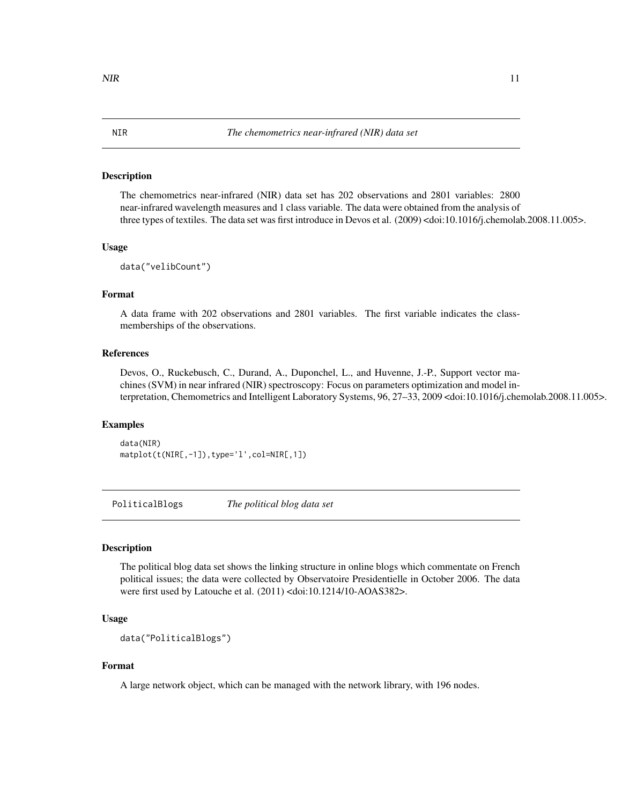#### <span id="page-10-0"></span>Description

The chemometrics near-infrared (NIR) data set has 202 observations and 2801 variables: 2800 near-infrared wavelength measures and 1 class variable. The data were obtained from the analysis of three types of textiles. The data set was first introduce in Devos et al. (2009) <doi:10.1016/j.chemolab.2008.11.005>.

#### Usage

```
data("velibCount")
```
# Format

A data frame with 202 observations and 2801 variables. The first variable indicates the classmemberships of the observations.

#### References

Devos, O., Ruckebusch, C., Durand, A., Duponchel, L., and Huvenne, J.-P., Support vector machines (SVM) in near infrared (NIR) spectroscopy: Focus on parameters optimization and model interpretation, Chemometrics and Intelligent Laboratory Systems, 96, 27–33, 2009 <doi:10.1016/j.chemolab.2008.11.005>.

# Examples

data(NIR) matplot(t(NIR[,-1]),type='l',col=NIR[,1])

PoliticalBlogs *The political blog data set*

# **Description**

The political blog data set shows the linking structure in online blogs which commentate on French political issues; the data were collected by Observatoire Presidentielle in October 2006. The data were first used by Latouche et al. (2011) <doi:10.1214/10-AOAS382>.

# Usage

```
data("PoliticalBlogs")
```
# Format

A large network object, which can be managed with the network library, with 196 nodes.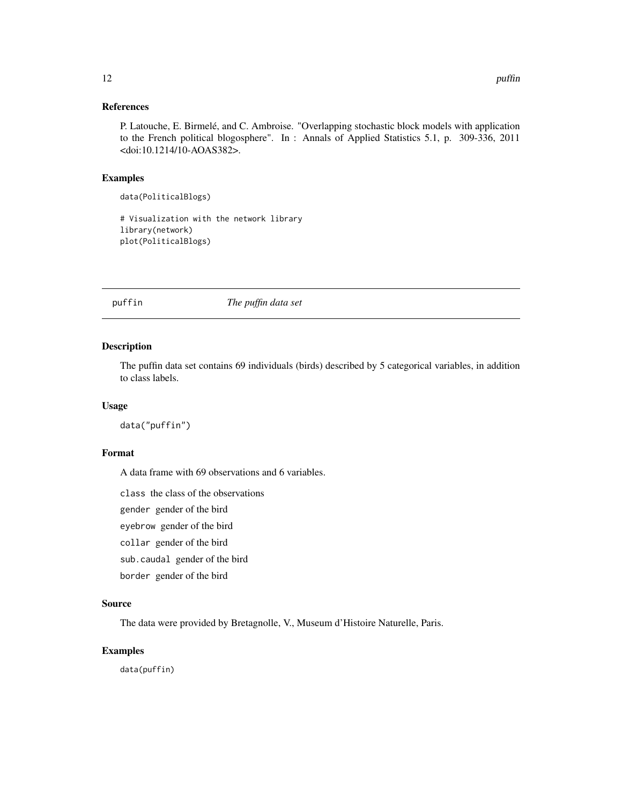# <span id="page-11-0"></span>References

P. Latouche, E. Birmelé, and C. Ambroise. "Overlapping stochastic block models with application to the French political blogosphere". In : Annals of Applied Statistics 5.1, p. 309-336, 2011 <doi:10.1214/10-AOAS382>.

# Examples

```
data(PoliticalBlogs)
```
# Visualization with the network library library(network) plot(PoliticalBlogs)

puffin *The puffin data set*

# Description

The puffin data set contains 69 individuals (birds) described by 5 categorical variables, in addition to class labels.

# Usage

data("puffin")

# Format

A data frame with 69 observations and 6 variables.

class the class of the observations

gender gender of the bird

eyebrow gender of the bird

- collar gender of the bird
- sub.caudal gender of the bird

border gender of the bird

# Source

The data were provided by Bretagnolle, V., Museum d'Histoire Naturelle, Paris.

# Examples

data(puffin)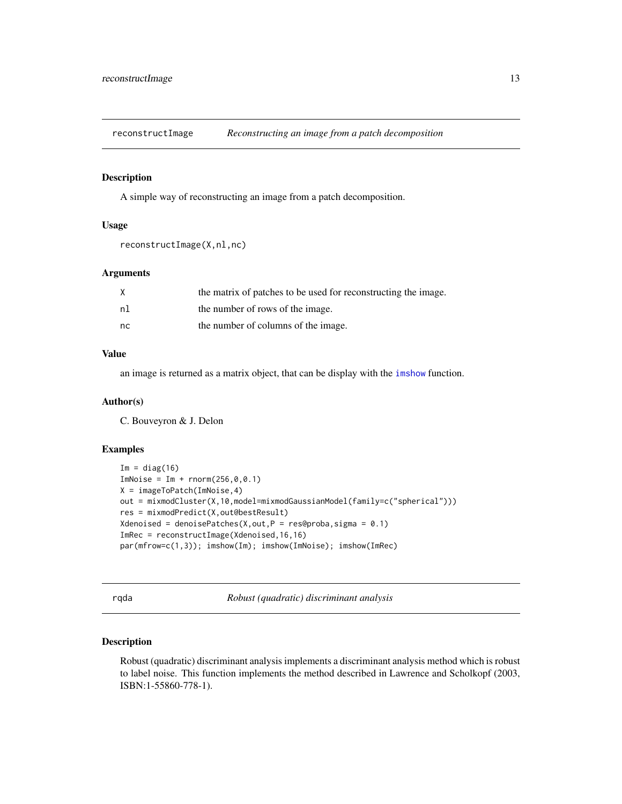<span id="page-12-0"></span>reconstructImage *Reconstructing an image from a patch decomposition*

#### Description

A simple way of reconstructing an image from a patch decomposition.

# Usage

```
reconstructImage(X,nl,nc)
```
# Arguments

|    | the matrix of patches to be used for reconstructing the image. |
|----|----------------------------------------------------------------|
| nl | the number of rows of the image.                               |
| nc | the number of columns of the image.                            |

# Value

an image is returned as a matrix object, that can be display with the [imshow](#page-9-1) function.

#### Author(s)

C. Bouveyron & J. Delon

#### Examples

```
Im = diag(16)ImNoise = Im + rnorm(256, 0, 0.1)X = imageToPatch(ImNoise,4)
out = mixmodCluster(X,10,model=mixmodGaussianModel(family=c("spherical")))
res = mixmodPredict(X,out@bestResult)
Xdenoised = denoisePatches(X,out,P = res@proba,sigma = 0.1)ImRec = reconstructImage(Xdenoised,16,16)
par(mfrow=c(1,3)); imshow(Im); imshow(ImNoise); imshow(ImRec)
```
rqda *Robust (quadratic) discriminant analysis*

# Description

Robust (quadratic) discriminant analysis implements a discriminant analysis method which is robust to label noise. This function implements the method described in Lawrence and Scholkopf (2003, ISBN:1-55860-778-1).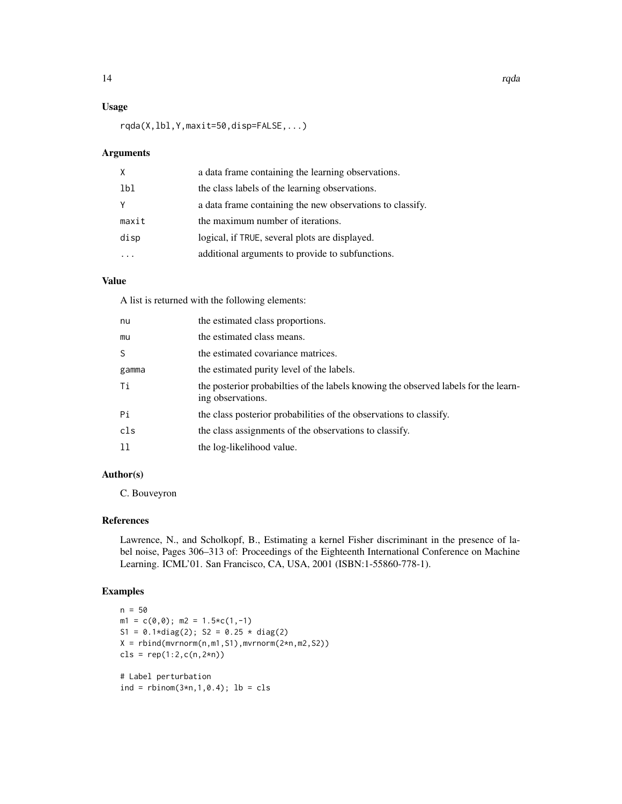# Usage

rqda(X,lbl,Y,maxit=50,disp=FALSE,...)

# Arguments

| x     | a data frame containing the learning observations.        |
|-------|-----------------------------------------------------------|
| 1b1   | the class labels of the learning observations.            |
|       | a data frame containing the new observations to classify. |
| maxit | the maximum number of iterations.                         |
| disp  | logical, if TRUE, several plots are displayed.            |
|       | additional arguments to provide to subfunctions.          |

# Value

A list is returned with the following elements:

| nu    | the estimated class proportions.                                                                          |
|-------|-----------------------------------------------------------------------------------------------------------|
| mu    | the estimated class means.                                                                                |
| S.    | the estimated covariance matrices.                                                                        |
| gamma | the estimated purity level of the labels.                                                                 |
| Тi    | the posterior probabilities of the labels knowing the observed labels for the learn-<br>ing observations. |
| Рi    | the class posterior probabilities of the observations to classify.                                        |
| cls   | the class assignments of the observations to classify.                                                    |
| 11    | the log-likelihood value.                                                                                 |

# Author(s)

C. Bouveyron

#### References

Lawrence, N., and Scholkopf, B., Estimating a kernel Fisher discriminant in the presence of label noise, Pages 306–313 of: Proceedings of the Eighteenth International Conference on Machine Learning. ICML'01. San Francisco, CA, USA, 2001 (ISBN:1-55860-778-1).

# Examples

```
n = 50m1 = c(0, 0); m2 = 1.5 \star c(1, -1)S1 = 0.1 * diag(2); S2 = 0.25 * diag(2)X = rbind(mvrnorm(n,m1,S1),mvrnorm(2*n,m2,S2))
cls = rep(1:2,c(n,2*n))# Label perturbation
ind = rbinom(3*n,1,0.4); lb = cls
```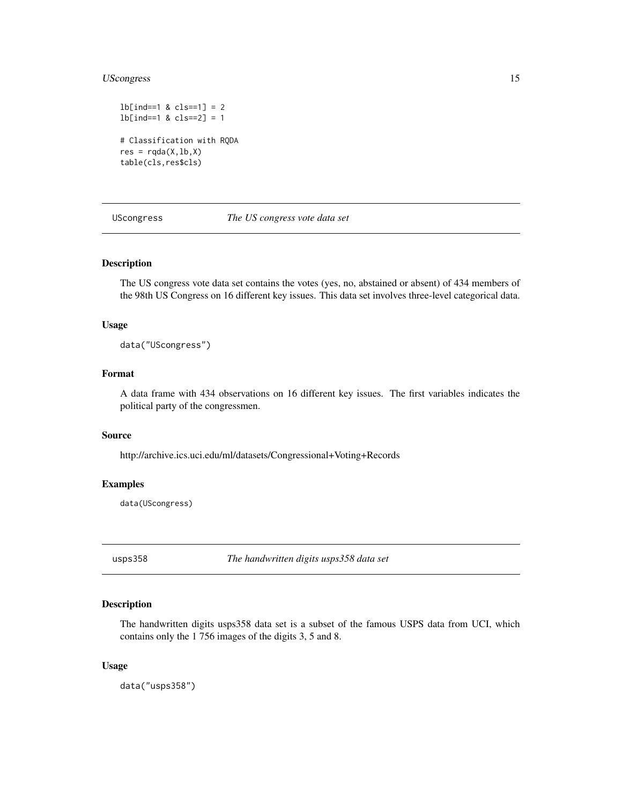# <span id="page-14-0"></span>UScongress 15

```
lb[ind==1 & cls==1] = 2
lb[ind==1 & cls==2] = 1
# Classification with RQDA
res = rqda(X, lb, X)table(cls,res$cls)
```
UScongress *The US congress vote data set*

# Description

The US congress vote data set contains the votes (yes, no, abstained or absent) of 434 members of the 98th US Congress on 16 different key issues. This data set involves three-level categorical data.

# Usage

data("UScongress")

# Format

A data frame with 434 observations on 16 different key issues. The first variables indicates the political party of the congressmen.

## Source

http://archive.ics.uci.edu/ml/datasets/Congressional+Voting+Records

# Examples

data(UScongress)

usps358 *The handwritten digits usps358 data set*

# Description

The handwritten digits usps358 data set is a subset of the famous USPS data from UCI, which contains only the 1 756 images of the digits 3, 5 and 8.

#### Usage

data("usps358")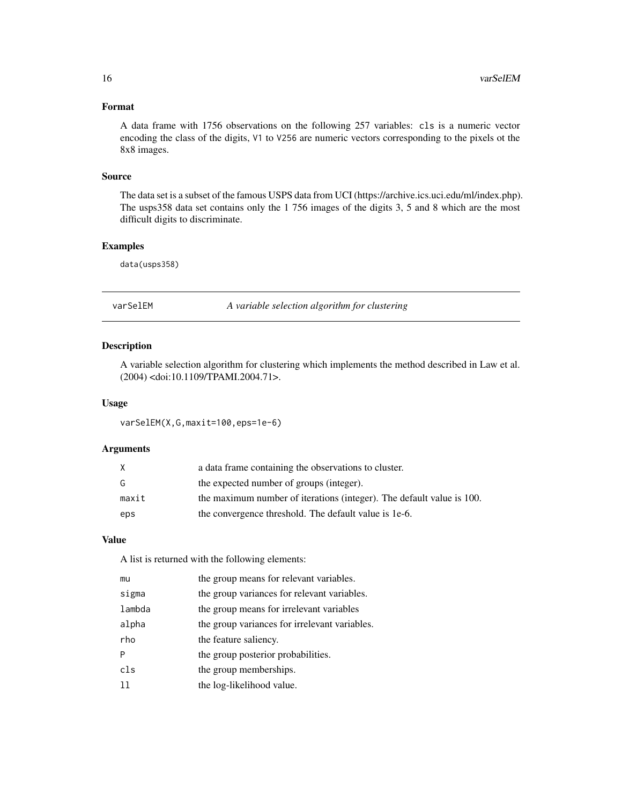# <span id="page-15-0"></span>Format

A data frame with 1756 observations on the following 257 variables: cls is a numeric vector encoding the class of the digits, V1 to V256 are numeric vectors corresponding to the pixels ot the 8x8 images.

#### Source

The data set is a subset of the famous USPS data from UCI (https://archive.ics.uci.edu/ml/index.php). The usps358 data set contains only the 1 756 images of the digits 3, 5 and 8 which are the most difficult digits to discriminate.

# Examples

data(usps358)

varSelEM *A variable selection algorithm for clustering*

# Description

A variable selection algorithm for clustering which implements the method described in Law et al. (2004) <doi:10.1109/TPAMI.2004.71>.

#### Usage

varSelEM(X,G,maxit=100,eps=1e-6)

#### Arguments

| X     | a data frame containing the observations to cluster.                  |
|-------|-----------------------------------------------------------------------|
| G     | the expected number of groups (integer).                              |
| maxit | the maximum number of iterations (integer). The default value is 100. |
| eps   | the convergence threshold. The default value is 1e-6.                 |

# Value

A list is returned with the following elements:

| mu     | the group means for relevant variables.       |
|--------|-----------------------------------------------|
| sigma  | the group variances for relevant variables.   |
| lambda | the group means for irrelevant variables      |
| alpha  | the group variances for irrelevant variables. |
| rho    | the feature saliency.                         |
| P      | the group posterior probabilities.            |
| c1s    | the group memberships.                        |
| 11     | the log-likelihood value.                     |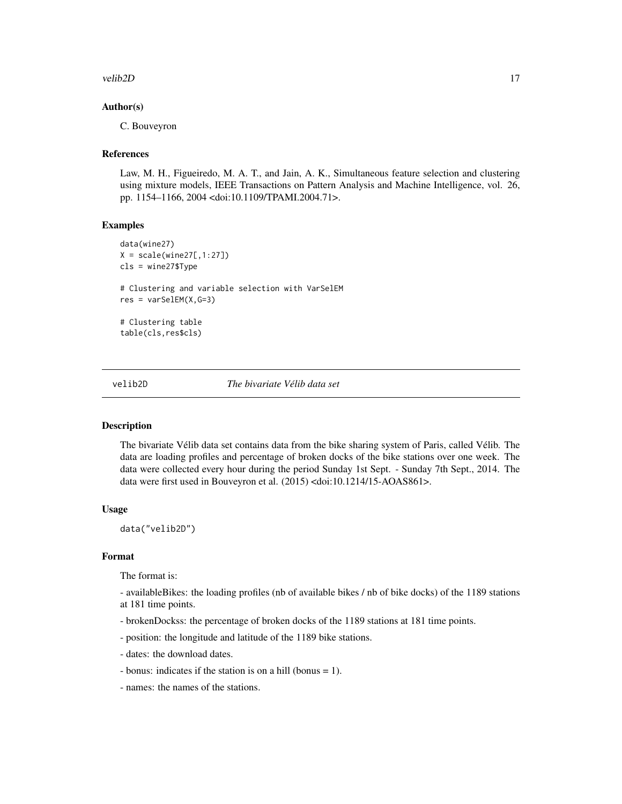#### <span id="page-16-0"></span>velib2D 17

# Author(s)

C. Bouveyron

#### **References**

Law, M. H., Figueiredo, M. A. T., and Jain, A. K., Simultaneous feature selection and clustering using mixture models, IEEE Transactions on Pattern Analysis and Machine Intelligence, vol. 26, pp. 1154–1166, 2004 <doi:10.1109/TPAMI.2004.71>.

#### Examples

```
data(wine27)
X = scale(wine27[, 1:27])cls = wine27$Type
# Clustering and variable selection with VarSelEM
res = varSelEM(X, G=3)# Clustering table
table(cls,res$cls)
```
#### velib2D *The bivariate Vélib data set*

#### Description

The bivariate Vélib data set contains data from the bike sharing system of Paris, called Vélib. The data are loading profiles and percentage of broken docks of the bike stations over one week. The data were collected every hour during the period Sunday 1st Sept. - Sunday 7th Sept., 2014. The data were first used in Bouveyron et al. (2015) <doi:10.1214/15-AOAS861>.

#### Usage

data("velib2D")

# Format

The format is:

- availableBikes: the loading profiles (nb of available bikes / nb of bike docks) of the 1189 stations at 181 time points.

- brokenDockss: the percentage of broken docks of the 1189 stations at 181 time points.
- position: the longitude and latitude of the 1189 bike stations.
- dates: the download dates.
- bonus: indicates if the station is on a hill (bonus = 1).
- names: the names of the stations.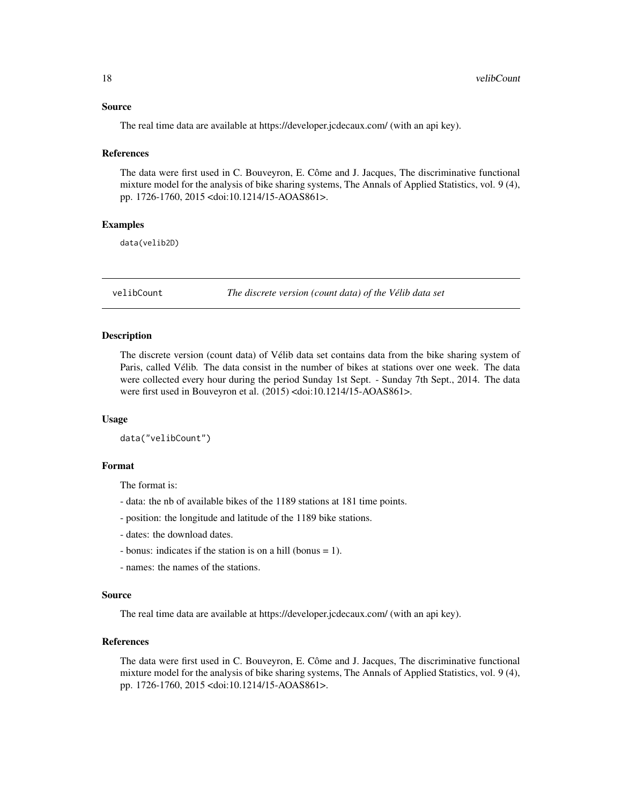#### <span id="page-17-0"></span>Source

The real time data are available at https://developer.jcdecaux.com/ (with an api key).

#### References

The data were first used in C. Bouveyron, E. Côme and J. Jacques, The discriminative functional mixture model for the analysis of bike sharing systems, The Annals of Applied Statistics, vol. 9 (4), pp. 1726-1760, 2015 <doi:10.1214/15-AOAS861>.

#### Examples

data(velib2D)

velibCount *The discrete version (count data) of the Vélib data set*

#### Description

The discrete version (count data) of Vélib data set contains data from the bike sharing system of Paris, called Vélib. The data consist in the number of bikes at stations over one week. The data were collected every hour during the period Sunday 1st Sept. - Sunday 7th Sept., 2014. The data were first used in Bouveyron et al. (2015) <doi:10.1214/15-AOAS861>.

#### Usage

data("velibCount")

#### Format

The format is:

- data: the nb of available bikes of the 1189 stations at 181 time points.
- position: the longitude and latitude of the 1189 bike stations.
- dates: the download dates.
- bonus: indicates if the station is on a hill (bonus = 1).
- names: the names of the stations.

#### Source

The real time data are available at https://developer.jcdecaux.com/ (with an api key).

# References

The data were first used in C. Bouveyron, E. Côme and J. Jacques, The discriminative functional mixture model for the analysis of bike sharing systems, The Annals of Applied Statistics, vol. 9 (4), pp. 1726-1760, 2015 <doi:10.1214/15-AOAS861>.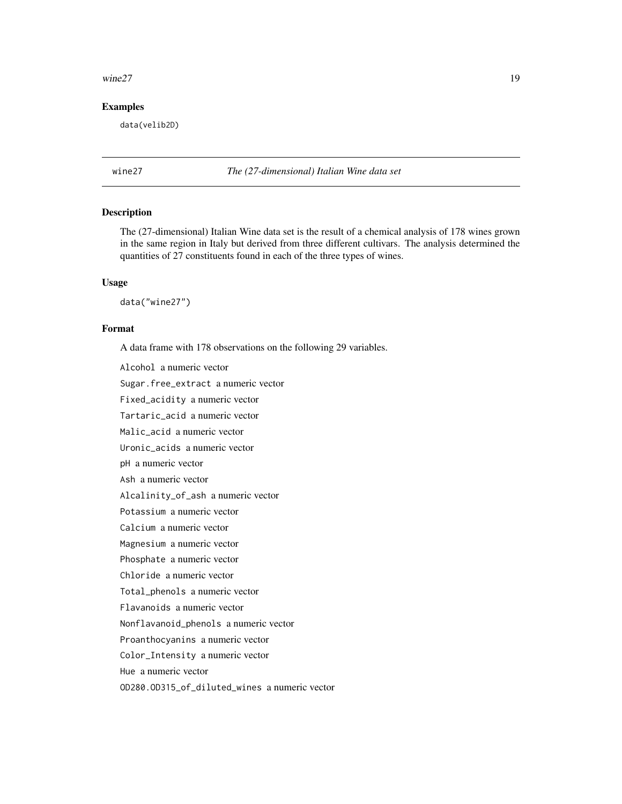#### <span id="page-18-0"></span> $\mu$  wine 27 19

# Examples

data(velib2D)

wine27 *The (27-dimensional) Italian Wine data set*

# Description

The (27-dimensional) Italian Wine data set is the result of a chemical analysis of 178 wines grown in the same region in Italy but derived from three different cultivars. The analysis determined the quantities of 27 constituents found in each of the three types of wines.

#### Usage

data("wine27")

# Format

A data frame with 178 observations on the following 29 variables.

Alcohol a numeric vector

Sugar.free\_extract a numeric vector

Fixed\_acidity a numeric vector

Tartaric\_acid a numeric vector

Malic\_acid a numeric vector

Uronic\_acids a numeric vector

pH a numeric vector

Ash a numeric vector

Alcalinity\_of\_ash a numeric vector

Potassium a numeric vector

Calcium a numeric vector

Magnesium a numeric vector

Phosphate a numeric vector

Chloride a numeric vector

Total\_phenols a numeric vector

Flavanoids a numeric vector

Nonflavanoid\_phenols a numeric vector

Proanthocyanins a numeric vector

Color\_Intensity a numeric vector

Hue a numeric vector

OD280.OD315\_of\_diluted\_wines a numeric vector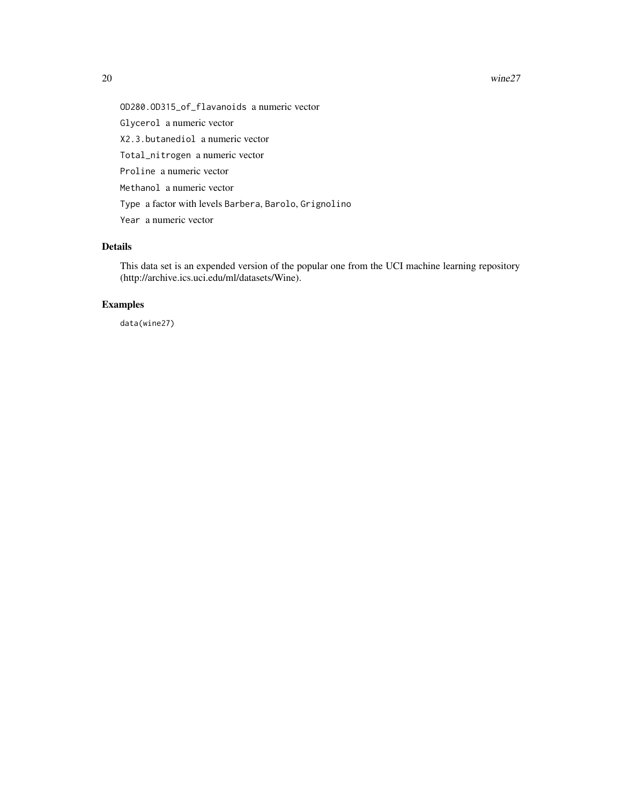#### 20 wine27

OD280.OD315\_of\_flavanoids a numeric vector Glycerol a numeric vector X2.3.butanediol a numeric vector Total\_nitrogen a numeric vector Proline a numeric vector Methanol a numeric vector Type a factor with levels Barbera, Barolo, Grignolino Year a numeric vector

# Details

This data set is an expended version of the popular one from the UCI machine learning repository (http://archive.ics.uci.edu/ml/datasets/Wine).

# Examples

data(wine27)